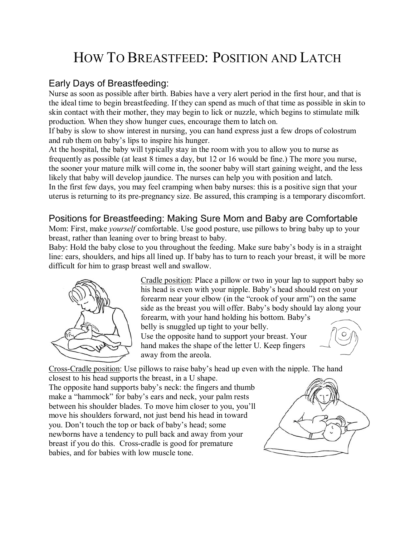# HOW TO BREASTFEED: POSITION AND LATCH

#### Early Days of Breastfeeding:

Nurse as soon as possible after birth. Babies have a very alert period in the first hour, and that is the ideal time to begin breastfeeding. If they can spend as much of that time as possible in skin to skin contact with their mother, they may begin to lick or nuzzle, which begins to stimulate milk production. When they show hunger cues, encourage them to latch on.

If baby is slow to show interest in nursing, you can hand express just a few drops of colostrum and rub them on baby's lips to inspire his hunger.

At the hospital, the baby will typically stay in the room with you to allow you to nurse as frequently as possible (at least 8 times a day, but 12 or 16 would be fine.) The more you nurse, the sooner your mature milk will come in, the sooner baby will start gaining weight, and the less likely that baby will develop jaundice. The nurses can help you with position and latch.

In the first few days, you may feel cramping when baby nurses: this is a positive sign that your uterus is returning to its pre-pregnancy size. Be assured, this cramping is a temporary discomfort.

#### Positions for Breastfeeding: Making Sure Mom and Baby are Comfortable

Mom: First, make *yourself* comfortable. Use good posture, use pillows to bring baby up to your breast, rather than leaning over to bring breast to baby.

Baby: Hold the baby close to you throughout the feeding. Make sure baby's body is in a straight line: ears, shoulders, and hips all lined up. If baby has to turn to reach your breast, it will be more difficult for him to grasp breast well and swallow.



Cradle position: Place a pillow or two in your lap to support baby so his head is even with your nipple. Baby's head should rest on your forearm near your elbow (in the "crook of your arm") on the same side as the breast you will offer. Baby's body should lay along your forearm, with your hand holding his bottom. Baby's belly is snuggled up tight to your belly. Use the opposite hand to support your breast. Your hand makes the shape of the letter U. Keep fingers away from the areola.

Cross-Cradle position: Use pillows to raise baby's head up even with the nipple. The hand

closest to his head supports the breast, in a U shape. The opposite hand supports baby's neck: the fingers and thumb make a "hammock" for baby's ears and neck, your palm rests between his shoulder blades. To move him closer to you, you'll move his shoulders forward, not just bend his head in toward you. Don't touch the top or back of baby's head; some newborns have a tendency to pull back and away from your breast if you do this. Cross-cradle is good for premature babies, and for babies with low muscle tone.

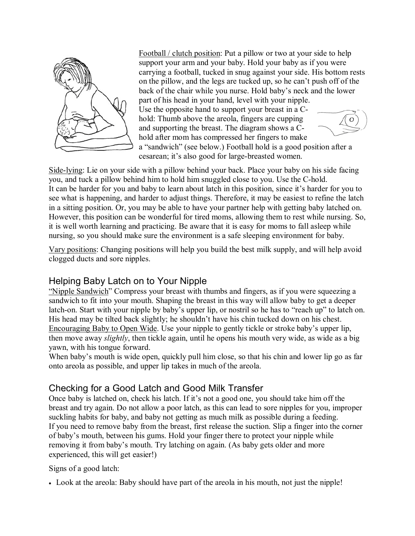

Football / clutch position: Put a pillow or two at your side to help support your arm and your baby. Hold your baby as if you were carrying a football, tucked in snug against your side. His bottom rests on the pillow, and the legs are tucked up, so he can't push off of the back of the chair while you nurse. Hold baby's neck and the lower part of his head in your hand, level with your nipple. Use the opposite hand to support your breast in a Chold: Thumb above the areola, fingers are cupping O and supporting the breast. The diagram shows a Chold after mom has compressed her fingers to make a "sandwich" (see below.) Football hold is a good position after a cesarean; it's also good for large-breasted women.

Side-lying: Lie on your side with a pillow behind your back. Place your baby on his side facing you, and tuck a pillow behind him to hold him snuggled close to you. Use the C-hold. It can be harder for you and baby to learn about latch in this position, since it's harder for you to see what is happening, and harder to adjust things. Therefore, it may be easiest to refine the latch in a sitting position. Or, you may be able to have your partner help with getting baby latched on. However, this position can be wonderful for tired moms, allowing them to rest while nursing. So, it is well worth learning and practicing. Be aware that it is easy for moms to fall asleep while nursing, so you should make sure the environment is a safe sleeping environment for baby.

Vary positions: Changing positions will help you build the best milk supply, and will help avoid clogged ducts and sore nipples.

## Helping Baby Latch on to Your Nipple

ìNipple Sandwichî Compress your breast with thumbs and fingers, as if you were squeezing a sandwich to fit into your mouth. Shaping the breast in this way will allow baby to get a deeper latch-on. Start with your nipple by baby's upper lip, or nostril so he has to "reach up" to latch on. His head may be tilted back slightly; he shouldn't have his chin tucked down on his chest. Encouraging Baby to Open Wide. Use your nipple to gently tickle or stroke baby's upper lip, then move away *slightly*, then tickle again, until he opens his mouth very wide, as wide as a big yawn, with his tongue forward.

When baby's mouth is wide open, quickly pull him close, so that his chin and lower lip go as far onto areola as possible, and upper lip takes in much of the areola.

## Checking for a Good Latch and Good Milk Transfer

Once baby is latched on, check his latch. If it's not a good one, you should take him off the breast and try again. Do not allow a poor latch, as this can lead to sore nipples for you, improper suckling habits for baby, and baby not getting as much milk as possible during a feeding. If you need to remove baby from the breast, first release the suction. Slip a finger into the corner of babyís mouth, between his gums. Hold your finger there to protect your nipple while removing it from baby's mouth. Try latching on again. (As baby gets older and more experienced, this will get easier!)

Signs of a good latch:

• Look at the areola: Baby should have part of the areola in his mouth, not just the nipple!